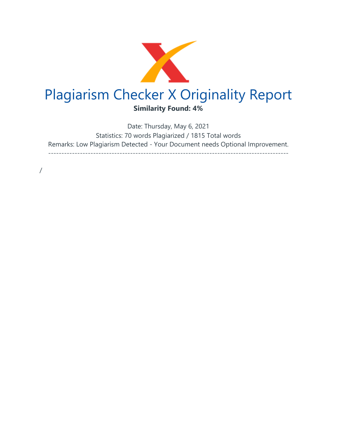

Date: Thursday, May 6, 2021 Statistics: 70 words Plagiarized / 1815 Total words Remarks: Low Plagiarism Detected - Your Document needs Optional Improvement. -------------------------------------------------------------------------------------------

/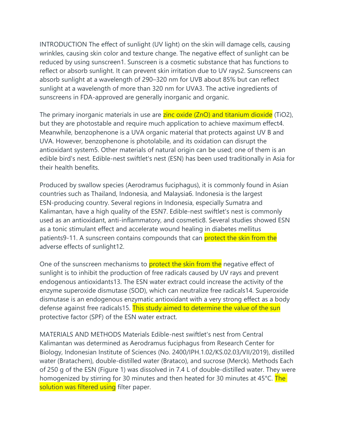INTRODUCTION The effect of sunlight (UV light) on the skin will damage cells, causing wrinkles, causing skin color and texture change. The negative effect of sunlight can be reduced by using sunscreen1. Sunscreen is a cosmetic substance that has functions to reflect or absorb sunlight. It can prevent skin irritation due to UV rays2. Sunscreens can absorb sunlight at a wavelength of 290–320 nm for UVB about 85% but can reflect sunlight at a wavelength of more than 320 nm for UVA3. The active ingredients of sunscreens in FDA-approved are generally inorganic and organic.

The primary inorganic materials in use are zinc oxide (ZnO) and titanium dioxide (TiO2), but they are photostable and require much application to achieve maximum effect4. Meanwhile, benzophenone is a UVA organic material that protects against UV B and UVA. However, benzophenone is photolabile, and its oxidation can disrupt the antioxidant system5. Other materials of natural origin can be used; one of them is an edible bird's nest. Edible-nest swiftlet's nest (ESN) has been used traditionally in Asia for their health benefits.

Produced by swallow species (Aerodramus fuciphagus), it is commonly found in Asian countries such as Thailand, Indonesia, and Malaysia6. Indonesia is the largest ESN-producing country. Several regions in Indonesia, especially Sumatra and Kalimantan, have a high quality of the ESN7. Edible-nest swiftlet's nest is commonly used as an antioxidant, anti-inflammatory, and cosmetic8. Several studies showed ESN as a tonic stimulant effect and accelerate wound healing in diabetes mellitus patients9-11. A sunscreen contains compounds that can protect the skin from the adverse effects of sunlight12.

One of the sunscreen mechanisms to **protect the skin from the** negative effect of sunlight is to inhibit the production of free radicals caused by UV rays and prevent endogenous antioxidants13. The ESN water extract could increase the activity of the enzyme superoxide dismutase (SOD), which can neutralize free radicals14. Superoxide dismutase is an endogenous enzymatic antioxidant with a very strong effect as a body defense against free radicals15. This study aimed to determine the value of the sun protective factor (SPF) of the ESN water extract.

MATERIALS AND METHODS Materials Edible-nest swiftlet's nest from Central Kalimantan was determined as Aerodramus fuciphagus from Research Center for Biology, Indonesian Institute of Sciences (No. 2400/IPH.1.02/KS.02.03/VII/2019), distilled water (Bratachem), double-distilled water (Brataco), and sucrose (Merck). Methods Each of 250 g of the ESN (Figure 1) was dissolved in 7.4 L of double-distilled water. They were homogenized by stirring for 30 minutes and then heated for 30 minutes at 45°C. The solution was filtered using filter paper.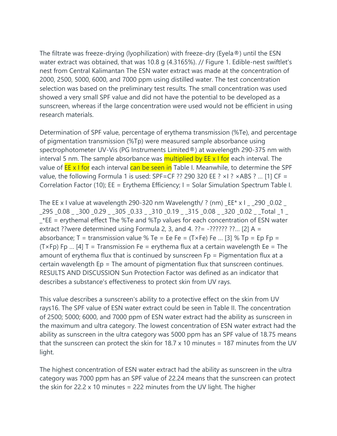The filtrate was freeze-drying (lyophilization) with freeze-dry (Eyela®) until the ESN water extract was obtained, that was 10.8 g (4.3165%). // Figure 1. Edible-nest swiftlet's nest from Central Kalimantan The ESN water extract was made at the concentration of 2000, 2500, 5000, 6000, and 7000 ppm using distilled water. The test concentration selection was based on the preliminary test results. The small concentration was used showed a very small SPF value and did not have the potential to be developed as a sunscreen, whereas if the large concentration were used would not be efficient in using research materials.

Determination of SPF value, percentage of erythema transmission (%Te), and percentage of pigmentation transmission (%Tp) were measured sample absorbance using spectrophotometer UV-Vis (PG Instruments Limited®) at wavelength 290-375 nm with interval 5 nm. The sample absorbance was **multiplied by EE x I for** each interval. The value of **EE x I for** each interval can be seen in Table I. Meanwhile, to determine the SPF value, the following Formula 1 is used: SPF=CF ?? 290 320 EE ?  $\times$ I ?  $\times$ ABS ? ... [1] CF = Correlation Factor (10); EE = Erythema Efficiency; I = Solar Simulation Spectrum Table I.

The EE x I value at wavelength 290-320 nm Wavelength/ ? (nm)  $E$ E\* x I  $-$  290  $-$  0.02 \_295 \_0.08 \_ \_300 \_0.29 \_ \_305 \_0.33 \_ \_310 \_0.19 \_ \_315 \_0.08 \_ \_320 \_0.02 \_ \_Total \_1 \_ \_\*EE = erythemal effect The %Te and %Tp values for each concentration of ESN water extract ??were determined using Formula 2, 3, and 4. ?? =  $-$ ?????? ??... [2] A = absorbance; T = transmission value % Te = Ee Fe =  $(T \times Fe)$  Fe ... [3] % Tp = Ep Fp =  $(T \times Fp)$  Fp ... [4] T = Transmission Fe = erythema flux at a certain wavelength Ee = The amount of erythema flux that is continued by sunscreen  $Fp =$  Pigmentation flux at a certain wavelength Ep = The amount of pigmentation flux that sunscreen continues. RESULTS AND DISCUSSION Sun Protection Factor was defined as an indicator that describes a substance's effectiveness to protect skin from UV rays.

This value describes a sunscreen's ability to a protective effect on the skin from UV rays16. The SPF value of ESN water extract could be seen in Table II. The concentration of 2500; 5000; 6000, and 7000 ppm of ESN water extract had the ability as sunscreen in the maximum and ultra category. The lowest concentration of ESN water extract had the ability as sunscreen in the ultra category was 5000 ppm has an SPF value of 18.75 means that the sunscreen can protect the skin for 18.7 x 10 minutes = 187 minutes from the UV light.

The highest concentration of ESN water extract had the ability as sunscreen in the ultra category was 7000 ppm has an SPF value of 22.24 means that the sunscreen can protect the skin for 22.2 x 10 minutes = 222 minutes from the UV light. The higher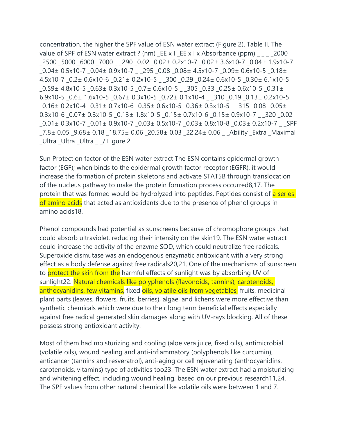concentration, the higher the SPF value of ESN water extract (Figure 2). Table II. The value of SPF of ESN water extract ? (nm)  $E$ E x I  $E$  E x I x Absorbance (ppm)  $\sim$  2000 \_2500 \_5000 \_6000 \_7000 \_ \_290 \_0.02 \_0.02± 0.2x10-7 \_0.02± 3.6x10-7 \_0.04± 1.9x10-7 \_0.04± 0.5x10-7 \_0.04± 0.9x10-7 \_ \_295 \_0.08 \_0.08± 4.5x10-7 \_0.09± 0.6x10-5 \_0.18± 4.5x10-7 \_0.2± 0.6x10-6 \_0.21± 0.2x10-5 \_ \_300 \_0.29 \_0.24± 0.6x10-5 \_0.30± 6.1x10-5 \_0.59± 4.8x10-5 \_0.63± 0.3x10-5 \_0.7± 0.6x10-5 \_ \_305 \_0.33 \_0.25± 0.6x10-5 \_0.31± 6.9x10-5  $0.6\pm$  1.6x10-5  $0.67\pm$  0.3x10-5  $0.72\pm$  0.1x10-4  $-310$   $0.19$   $0.13\pm$  0.2x10-5 \_0.16± 0.2x10-4 \_0.31± 0.7x10-6 \_0.35± 0.6x10-5 \_0.36± 0.3x10-5 \_ \_315 \_0.08 \_0.05± 0.3x10-6 \_0.07± 0.3x10-5 \_0.13± 1.8x10-5 \_0.15± 0.7x10-6 \_0.15± 0.9x10-7 \_ \_320 \_0.02 \_0.01± 0.3x10-7 \_0.01± 0.9x10-7 \_0.03± 0.5x10-7 \_0.03± 0.8x10-8 \_0.03± 0.2x10-7 \_ \_SPF \_7.8± 0.05 \_9.68± 0.18 \_18.75± 0.06 \_20.58± 0.03 \_22.24± 0.06 \_ \_Ability \_Extra \_Maximal \_Ultra \_Ultra \_Ultra \_ \_/ Figure 2.

Sun Protection factor of the ESN water extract The ESN contains epidermal growth factor (EGF); when binds to the epidermal growth factor receptor (EGFR), it would increase the formation of protein skeletons and activate STAT5B through translocation of the nucleus pathway to make the protein formation process occurred8,17. The protein that was formed would be hydrolyzed into peptides. Peptides consist of a series of amino acids that acted as antioxidants due to the presence of phenol groups in amino acids18.

Phenol compounds had potential as sunscreens because of chromophore groups that could absorb ultraviolet, reducing their intensity on the skin19. The ESN water extract could increase the activity of the enzyme SOD, which could neutralize free radicals. Superoxide dismutase was an endogenous enzymatic antioxidant with a very strong effect as a body defense against free radicals20,21. One of the mechanisms of sunscreen to protect the skin from the harmful effects of sunlight was by absorbing UV of sunlight22. Natural chemicals like polyphenols (flavonoids, tannins), carotenoids, anthocyanidins, few vitamins, fixed oils, volatile oils from vegetables, fruits, medicinal plant parts (leaves, flowers, fruits, berries), algae, and lichens were more effective than synthetic chemicals which were due to their long term beneficial effects especially against free radical generated skin damages along with UV-rays blocking. All of these possess strong antioxidant activity.

Most of them had moisturizing and cooling (aloe vera juice, fixed oils), antimicrobial (volatile oils), wound healing and anti-inflammatory (polyphenols like curcumin), anticancer (tannins and resveratrol), anti-aging or cell rejuvenating (anthocyanidins, carotenoids, vitamins) type of activities too23. The ESN water extract had a moisturizing and whitening effect, including wound healing, based on our previous research11,24. The SPF values from other natural chemical like volatile oils were between 1 and 7.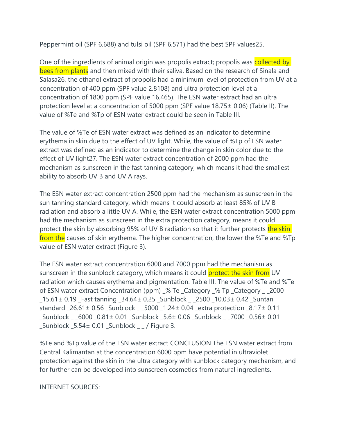Peppermint oil (SPF 6.688) and tulsi oil (SPF 6.571) had the best SPF values25.

One of the ingredients of animal origin was propolis extract; propolis was **collected by** bees from plants and then mixed with their saliva. Based on the research of Sinala and Salasa26, the ethanol extract of propolis had a minimum level of protection from UV at a concentration of 400 ppm (SPF value 2.8108) and ultra protection level at a concentration of 1800 ppm (SPF value 16.465). The ESN water extract had an ultra protection level at a concentration of 5000 ppm (SPF value 18.75± 0.06) (Table II). The value of %Te and %Tp of ESN water extract could be seen in Table III.

The value of %Te of ESN water extract was defined as an indicator to determine erythema in skin due to the effect of UV light. While, the value of %Tp of ESN water extract was defined as an indicator to determine the change in skin color due to the effect of UV light27. The ESN water extract concentration of 2000 ppm had the mechanism as sunscreen in the fast tanning category, which means it had the smallest ability to absorb UV B and UV A rays.

The ESN water extract concentration 2500 ppm had the mechanism as sunscreen in the sun tanning standard category, which means it could absorb at least 85% of UV B radiation and absorb a little UV A. While, the ESN water extract concentration 5000 ppm had the mechanism as sunscreen in the extra protection category, means it could protect the skin by absorbing 95% of UV B radiation so that it further protects the skin from the causes of skin erythema. The higher concentration, the lower the %Te and %Tp value of ESN water extract (Figure 3).

The ESN water extract concentration 6000 and 7000 ppm had the mechanism as sunscreen in the sunblock category, which means it could protect the skin from UV radiation which causes erythema and pigmentation. Table III. The value of %Te and %Te of ESN water extract Concentration (ppm) \_% Te \_Category \_% Tp \_Category \_ \_2000 \_15.61± 0.19 \_Fast tanning \_34.64± 0.25 \_Sunblock \_ \_2500 \_10.03± 0.42 \_Suntan standard \_26.61± 0.56 \_Sunblock \_ \_5000 \_1.24± 0.04 \_extra protection \_8.17± 0.11 \_Sunblock \_ \_6000 \_0.81± 0.01 \_Sunblock \_5.6± 0.06 \_Sunblock \_ \_7000 \_0.56± 0.01  $Sumblock$   $-5.54±$  0.01  $Sumblock$   $-$  / Figure 3.

%Te and %Tp value of the ESN water extract CONCLUSION The ESN water extract from Central Kalimantan at the concentration 6000 ppm have potential in ultraviolet protection against the skin in the ultra category with sunblock category mechanism, and for further can be developed into sunscreen cosmetics from natural ingredients.

INTERNET SOURCES: